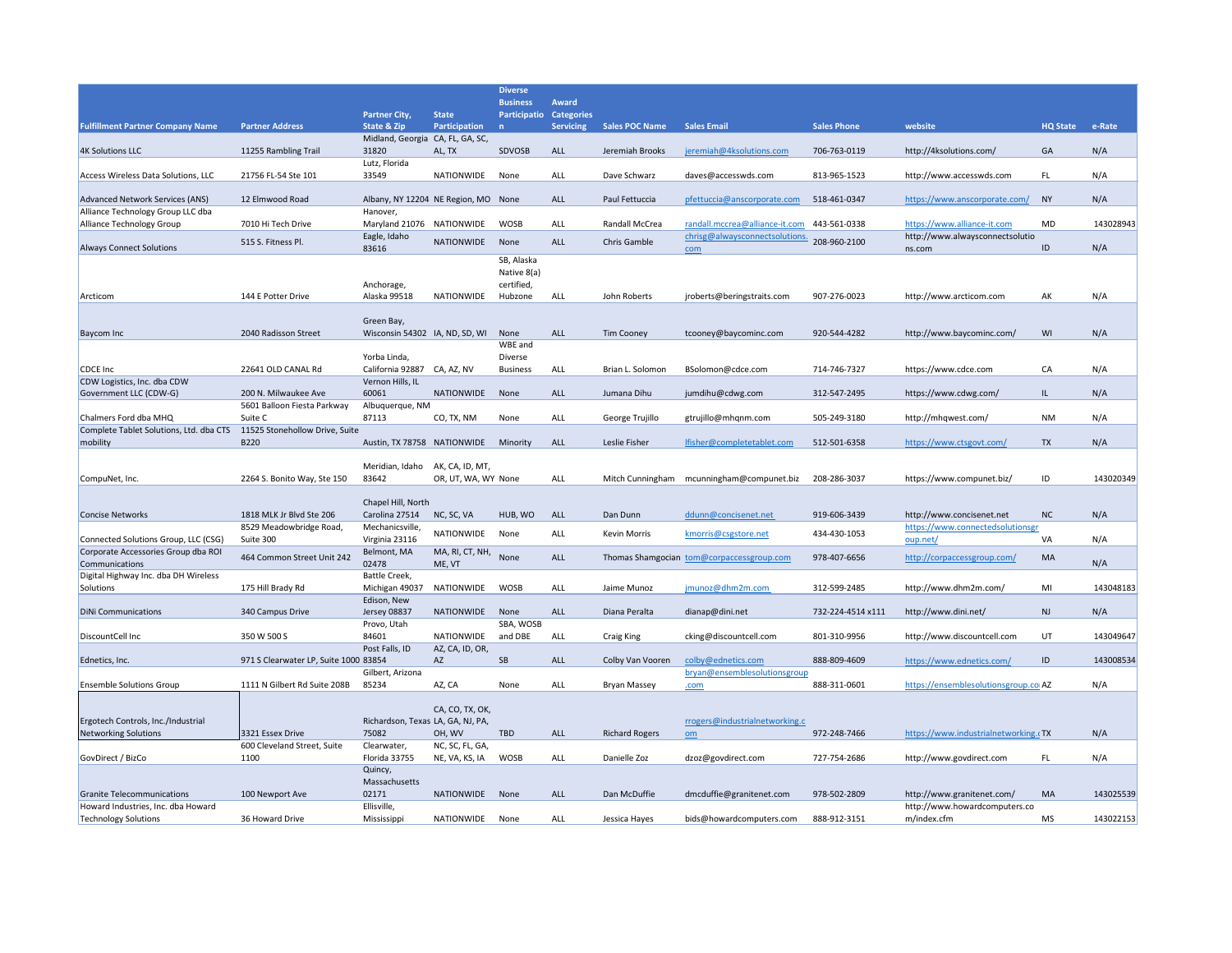|                                                                             |                                        |                                           |                     | <b>Diverse</b>                  |                                   |                       |                                                                  |                    |                                                                |                 |           |
|-----------------------------------------------------------------------------|----------------------------------------|-------------------------------------------|---------------------|---------------------------------|-----------------------------------|-----------------------|------------------------------------------------------------------|--------------------|----------------------------------------------------------------|-----------------|-----------|
|                                                                             |                                        | <b>Partner City,</b>                      | <b>State</b>        | <b>Business</b><br>Participatio | <b>Award</b><br><b>Categories</b> |                       |                                                                  |                    |                                                                |                 |           |
| <b>Fulfillment Partner Company Name</b>                                     | <b>Partner Address</b>                 | <b>State &amp; Zip</b>                    | Participation       | n                               | <b>Servicing</b>                  | <b>Sales POC Name</b> | <b>Sales Email</b>                                               | <b>Sales Phone</b> | website                                                        | <b>HQ State</b> | e-Rate    |
| <b>4K Solutions LLC</b>                                                     | 11255 Rambling Trail                   | Midland, Georgia CA, FL, GA, SC,<br>31820 | AL, TX              | SDVOSB                          | ALL                               | Jeremiah Brooks       | jeremiah@4ksolutions.com                                         | 706-763-0119       | http://4ksolutions.com/                                        | GA              | N/A       |
|                                                                             |                                        | Lutz, Florida                             |                     |                                 |                                   |                       |                                                                  |                    |                                                                |                 |           |
| <b>Access Wireless Data Solutions, LLC</b>                                  | 21756 FL-54 Ste 101                    | 33549                                     | NATIONWIDE          | None                            | <b>ALL</b>                        | Dave Schwarz          | daves@accesswds.com                                              | 813-965-1523       | http://www.accesswds.com                                       | FL.             | N/A       |
| Advanced Network Services (ANS)                                             | 12 Elmwood Road                        | Albany, NY 12204 NE Region, MO None       |                     |                                 | ALL                               | Paul Fettuccia        | pfettuccia@anscorporate.com                                      | 518-461-0347       | https://www.anscorporate.com/                                  | NY              | N/A       |
| Alliance Technology Group LLC dba                                           |                                        | Hanover,                                  |                     |                                 |                                   |                       |                                                                  |                    |                                                                |                 |           |
| Alliance Technology Group                                                   | 7010 Hi Tech Drive                     | Maryland 21076 NATIONWIDE<br>Eagle, Idaho |                     | <b>WOSB</b>                     | ALL                               | <b>Randall McCrea</b> | randall.mccrea@alliance-it.com<br>chrisg@alwaysconnectsolutions. | 443-561-0338       | https://www.alliance-it.com<br>http://www.alwaysconnectsolutio | <b>MD</b>       | 143028943 |
| <b>Always Connect Solutions</b>                                             | 515 S. Fitness Pl.                     | 83616                                     | <b>NATIONWIDE</b>   | None                            | ALL                               | Chris Gamble          | com                                                              | 208-960-2100       | ns.com                                                         | ID              | N/A       |
|                                                                             |                                        |                                           |                     | SB, Alaska                      |                                   |                       |                                                                  |                    |                                                                |                 |           |
|                                                                             |                                        | Anchorage,                                |                     | Native 8(a)<br>certified,       |                                   |                       |                                                                  |                    |                                                                |                 |           |
| Arcticom                                                                    | 144 E Potter Drive                     | Alaska 99518                              | <b>NATIONWIDE</b>   | Hubzone                         | ALL                               | John Roberts          | jroberts@beringstraits.com                                       | 907-276-0023       | http://www.arcticom.com                                        | AK              | N/A       |
|                                                                             |                                        | Green Bay,                                |                     |                                 |                                   |                       |                                                                  |                    |                                                                |                 |           |
| Baycom Inc                                                                  | 2040 Radisson Street                   | Wisconsin 54302 IA, ND, SD, WI            |                     | None                            | ALL                               | <b>Tim Cooney</b>     | tcooney@baycominc.com                                            | 920-544-4282       | http://www.baycominc.com/                                      | WI              | N/A       |
|                                                                             |                                        |                                           |                     | WBE and                         |                                   |                       |                                                                  |                    |                                                                |                 |           |
| CDCE Inc                                                                    | 22641 OLD CANAL Rd                     | Yorba Linda,<br>California 92887          | CA, AZ, NV          | Diverse<br><b>Business</b>      | ALL                               | Brian L. Solomon      | BSolomon@cdce.com                                                | 714-746-7327       | https://www.cdce.com                                           | CA              | N/A       |
| CDW Logistics, Inc. dba CDW                                                 |                                        | Vernon Hills, IL                          |                     |                                 |                                   |                       |                                                                  |                    |                                                                |                 |           |
| Government LLC (CDW-G)                                                      | 200 N. Milwaukee Ave                   | 60061                                     | <b>NATIONWIDE</b>   | None                            | ALL                               | Jumana Dihu           | jumdihu@cdwg.com                                                 | 312-547-2495       | https://www.cdwg.com/                                          | IL.             | N/A       |
| Chalmers Ford dba MHQ                                                       | 5601 Balloon Fiesta Parkway<br>Suite C | Albuquerque, NM<br>87113                  | CO, TX, NM          | None                            | <b>ALL</b>                        | George Trujillo       | gtrujillo@mhqnm.com                                              | 505-249-3180       | http://mhqwest.com/                                            | <b>NM</b>       | N/A       |
| Complete Tablet Solutions, Ltd. dba CTS                                     | 11525 Stonehollow Drive, Suite         |                                           |                     |                                 |                                   |                       |                                                                  |                    |                                                                |                 |           |
| mobility                                                                    | <b>B220</b>                            | Austin, TX 78758 NATIONWIDE               |                     | Minority                        | ALL                               | Leslie Fisher         | lfisher@completetablet.com                                       | 512-501-6358       | https://www.ctsgovt.com/                                       | <b>TX</b>       | N/A       |
|                                                                             |                                        | Meridian, Idaho                           | AK, CA, ID, MT,     |                                 |                                   |                       |                                                                  |                    |                                                                |                 |           |
| CompuNet, Inc.                                                              | 2264 S. Bonito Way, Ste 150            | 83642                                     | OR, UT, WA, WY None |                                 | <b>ALL</b>                        | Mitch Cunningham      | mcunningham@compunet.biz                                         | 208-286-3037       | https://www.compunet.biz/                                      | ID              | 143020349 |
|                                                                             |                                        | Chapel Hill, North                        |                     |                                 |                                   |                       |                                                                  |                    |                                                                |                 |           |
| <b>Concise Networks</b>                                                     | 1818 MLK Jr Blvd Ste 206               | Carolina 27514                            | NC, SC, VA          | HUB, WO                         | <b>ALL</b>                        | Dan Dunn              | ddunn@concisenet.net                                             | 919-606-3439       | http://www.concisenet.net                                      | NC              | N/A       |
|                                                                             | 8529 Meadowbridge Road,                | Mechanicsville,                           | NATIONWIDE          | None                            | <b>ALL</b>                        | <b>Kevin Morris</b>   | kmorris@csgstore.net                                             | 434-430-1053       | https://www.connectedsolutionsgr                               |                 |           |
| Connected Solutions Group, LLC (CSG)<br>Corporate Accessories Group dba ROI | Suite 300                              | Virginia 23116<br>Belmont, MA             | MA, RI, CT, NH,     |                                 |                                   |                       |                                                                  |                    | oup.net/                                                       | VA              | N/A       |
| Communications                                                              | 464 Common Street Unit 242             | 02478                                     | ME, VT              | None                            | <b>ALL</b>                        |                       | Thomas Shamgocian tom@corpaccessgroup.com                        | 978-407-6656       | http://corpaccessgroup.com/                                    | MA              | N/A       |
| Digital Highway Inc. dba DH Wireless<br>Solutions                           | 175 Hill Brady Rd                      | Battle Creek,<br>Michigan 49037           | NATIONWIDE          | <b>WOSB</b>                     | <b>ALL</b>                        | Jaime Munoz           | jmunoz@dhm2m.com                                                 | 312-599-2485       | http://www.dhm2m.com/                                          | MI              | 143048183 |
|                                                                             |                                        | Edison, New                               |                     |                                 |                                   |                       |                                                                  |                    |                                                                |                 |           |
| <b>DiNi Communications</b>                                                  | 340 Campus Drive                       | Jersey 08837                              | NATIONWIDE          | None                            | ALL                               | Diana Peralta         | dianap@dini.net                                                  | 732-224-4514 x111  | http://www.dini.net/                                           | <b>NJ</b>       | N/A       |
| DiscountCell Inc                                                            | 350 W 500 S                            | Provo, Utah<br>84601                      | <b>NATIONWIDE</b>   | SBA, WOSB<br>and DBE            | ALL                               | <b>Craig King</b>     | cking@discountcell.com                                           | 801-310-9956       | http://www.discountcell.com                                    | UT              | 143049647 |
|                                                                             |                                        | Post Falls, ID                            | AZ, CA, ID, OR,     |                                 |                                   |                       |                                                                  |                    |                                                                |                 |           |
| Ednetics, Inc.                                                              | 971 S Clearwater LP, Suite 1000 83854  |                                           | AZ                  | <b>SB</b>                       | <b>ALL</b>                        | Colby Van Vooren      | colby@ednetics.com                                               | 888-809-4609       | https://www.ednetics.com/                                      | ID              | 143008534 |
| <b>Ensemble Solutions Group</b>                                             | 1111 N Gilbert Rd Suite 208B           | Gilbert, Arizona<br>85234                 | AZ, CA              | None                            | <b>ALL</b>                        | <b>Bryan Massey</b>   | bryan@ensemblesolutionsgroup<br>.com                             | 888-311-0601       | https://ensemblesolutionsgroup.co AZ                           |                 | N/A       |
|                                                                             |                                        |                                           |                     |                                 |                                   |                       |                                                                  |                    |                                                                |                 |           |
| Ergotech Controls, Inc./Industrial                                          |                                        | Richardson, Texas LA, GA, NJ, PA,         | CA, CO, TX, OK,     |                                 |                                   |                       | rrogers@industrialnetworking.c                                   |                    |                                                                |                 |           |
| <b>Networking Solutions</b>                                                 | 3321 Essex Drive                       | 75082                                     | OH, WV              | <b>TBD</b>                      | ALL                               | <b>Richard Rogers</b> | om                                                               | 972-248-7466       | https://www.industrialnetworking.cTX                           |                 | N/A       |
|                                                                             | 600 Cleveland Street, Suite            | Clearwater,                               | NC, SC, FL, GA,     |                                 |                                   |                       |                                                                  |                    |                                                                |                 |           |
| GovDirect / BizCo                                                           | 1100                                   | Florida 33755<br>Quincy,                  | NE, VA, KS, IA      | <b>WOSB</b>                     | ALL                               | Danielle Zoz          | dzoz@govdirect.com                                               | 727-754-2686       | http://www.govdirect.com                                       | FL.             | N/A       |
|                                                                             |                                        | Massachusetts                             |                     |                                 |                                   |                       |                                                                  |                    |                                                                |                 |           |
| <b>Granite Telecommunications</b>                                           | 100 Newport Ave                        | 02171                                     | NATIONWIDE          | None                            | ALL                               | Dan McDuffie          | dmcduffie@granitenet.com                                         | 978-502-2809       | http://www.granitenet.com/                                     | MA              | 143025539 |
| Howard Industries, Inc. dba Howard<br><b>Technology Solutions</b>           | 36 Howard Drive                        | Ellisville,<br>Mississippi                | NATIONWIDE          | None                            | ALL                               | Jessica Hayes         | bids@howardcomputers.com                                         | 888-912-3151       | http://www.howardcomputers.co<br>m/index.cfm                   | MS              | 143022153 |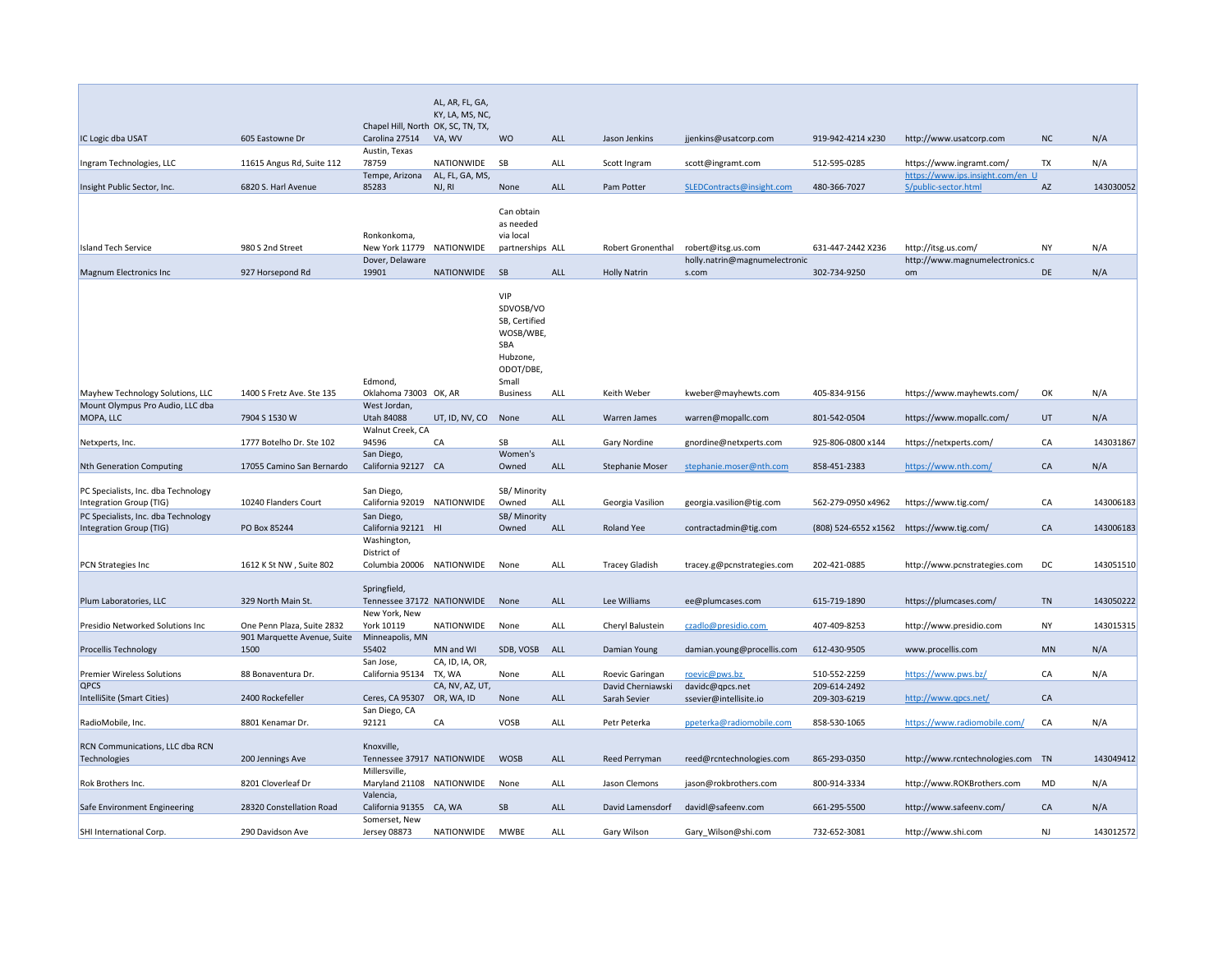|                                        |                             |                                    | AL, AR, FL, GA, |                       |            |                          |                               |                      |                                   |           |           |
|----------------------------------------|-----------------------------|------------------------------------|-----------------|-----------------------|------------|--------------------------|-------------------------------|----------------------|-----------------------------------|-----------|-----------|
|                                        |                             |                                    | KY, LA, MS, NC, |                       |            |                          |                               |                      |                                   |           |           |
|                                        |                             | Chapel Hill, North OK, SC, TN, TX, |                 |                       |            |                          |                               |                      |                                   |           |           |
| IC Logic dba USAT                      | 605 Eastowne Dr             | Carolina 27514                     | VA, WV          | <b>WO</b>             | ALL        | Jason Jenkins            | jjenkins@usatcorp.com         | 919-942-4214 x230    | http://www.usatcorp.com           | <b>NC</b> | N/A       |
|                                        |                             | Austin, Texas                      |                 |                       |            |                          |                               |                      |                                   |           |           |
| Ingram Technologies, LLC               | 11615 Angus Rd, Suite 112   | 78759                              | NATIONWIDE      | <b>SB</b>             | ALL        | Scott Ingram             | scott@ingramt.com             | 512-595-0285         | https://www.ingramt.com/          | <b>TX</b> | N/A       |
|                                        |                             | Tempe, Arizona                     | AL, FL, GA, MS, |                       |            |                          |                               |                      | https://www.ips.insight.com/en_U  |           |           |
| Insight Public Sector, Inc.            | 6820 S. Harl Avenue         | 85283                              | NJ, RI          | None                  | <b>ALL</b> | Pam Potter               | SLEDContracts@insight.com     | 480-366-7027         | S/public-sector.html              | AZ        | 143030052 |
|                                        |                             |                                    |                 |                       |            |                          |                               |                      |                                   |           |           |
|                                        |                             |                                    |                 | Can obtain            |            |                          |                               |                      |                                   |           |           |
|                                        |                             |                                    |                 | as needed             |            |                          |                               |                      |                                   |           |           |
|                                        |                             | Ronkonkoma,                        |                 | via local             |            |                          |                               |                      |                                   |           |           |
| <b>Island Tech Service</b>             | 980 S 2nd Street            | New York 11779                     | NATIONWIDE      | partnerships ALL      |            | <b>Robert Gronenthal</b> | robert@itsg.us.com            | 631-447-2442 X236    | http://itsg.us.com/               | <b>NY</b> | N/A       |
|                                        |                             | Dover, Delaware                    |                 |                       |            |                          | holly.natrin@magnumelectronic |                      | http://www.magnumelectronics.c    |           |           |
| <b>Magnum Electronics Inc</b>          | 927 Horsepond Rd            | 19901                              | NATIONWIDE      | SB                    | ALL        | <b>Holly Natrin</b>      | s.com                         | 302-734-9250         | om                                | DE        | N/A       |
|                                        |                             |                                    |                 |                       |            |                          |                               |                      |                                   |           |           |
|                                        |                             |                                    |                 | <b>VIP</b>            |            |                          |                               |                      |                                   |           |           |
|                                        |                             |                                    |                 | SDVOSB/VO             |            |                          |                               |                      |                                   |           |           |
|                                        |                             |                                    |                 | SB, Certified         |            |                          |                               |                      |                                   |           |           |
|                                        |                             |                                    |                 | WOSB/WBE,             |            |                          |                               |                      |                                   |           |           |
|                                        |                             |                                    |                 | SBA                   |            |                          |                               |                      |                                   |           |           |
|                                        |                             |                                    |                 | Hubzone,              |            |                          |                               |                      |                                   |           |           |
|                                        |                             |                                    |                 | ODOT/DBE,             |            |                          |                               |                      |                                   |           |           |
|                                        |                             | Edmond,                            |                 | Small                 |            |                          |                               |                      |                                   |           |           |
| Mayhew Technology Solutions, LLC       | 1400 S Fretz Ave. Ste 135   | Oklahoma 73003 OK, AR              |                 | <b>Business</b>       | <b>ALL</b> | Keith Weber              | kweber@mayhewts.com           | 405-834-9156         | https://www.mayhewts.com/         | OK        | N/A       |
| Mount Olympus Pro Audio, LLC dba       |                             | West Jordan,                       |                 |                       |            |                          |                               |                      |                                   |           |           |
| MOPA, LLC                              | 7904 S 1530 W               | <b>Utah 84088</b>                  | UT, ID, NV, CO  | None                  | <b>ALL</b> | <b>Warren James</b>      | warren@mopallc.com            | 801-542-0504         | https://www.mopallc.com/          | UT        | N/A       |
|                                        | 1777 Botelho Dr. Ste 102    | Walnut Creek, CA                   |                 |                       |            |                          |                               |                      |                                   |           |           |
| Netxperts, Inc.                        |                             | 94596                              | CA              | SB<br>Women's         | <b>ALL</b> | <b>Gary Nordine</b>      | gnordine@netxperts.com        | 925-806-0800 x144    | https://netxperts.com/            | CA        | 143031867 |
| <b>Nth Generation Computing</b>        | 17055 Camino San Bernardo   | San Diego,<br>California 92127 CA  |                 | Owned                 | ALL        | <b>Stephanie Moser</b>   | stephanie.moser@nth.com       | 858-451-2383         | https://www.nth.com/              | CA        | N/A       |
|                                        |                             |                                    |                 |                       |            |                          |                               |                      |                                   |           |           |
| PC Specialists, Inc. dba Technology    |                             | San Diego,                         |                 | SB/ Minority          |            |                          |                               |                      |                                   |           |           |
| Integration Group (TIG)                | 10240 Flanders Court        | California 92019 NATIONWIDE        |                 | Owned                 | ALL        | Georgia Vasilion         | georgia.vasilion@tig.com      | 562-279-0950 x4962   | https://www.tig.com/              | CA        | 143006183 |
| PC Specialists, Inc. dba Technology    |                             |                                    |                 |                       |            |                          |                               |                      |                                   |           |           |
|                                        | PO Box 85244                | San Diego,<br>California 92121 HI  |                 | SB/ Minority<br>Owned | <b>ALL</b> | Roland Yee               |                               | (808) 524-6552 x1562 |                                   |           | 143006183 |
| Integration Group (TIG)                |                             | Washington,                        |                 |                       |            |                          | contractadmin@tig.com         |                      | https://www.tig.com/              | CA        |           |
|                                        |                             | District of                        |                 |                       |            |                          |                               |                      |                                   |           |           |
| <b>PCN Strategies Inc</b>              | 1612 K St NW, Suite 802     | Columbia 20006                     | NATIONWIDE      | None                  | <b>ALL</b> | <b>Tracey Gladish</b>    | tracey.g@pcnstrategies.com    | 202-421-0885         | http://www.pcnstrategies.com      | DC        | 143051510 |
|                                        |                             |                                    |                 |                       |            |                          |                               |                      |                                   |           |           |
|                                        |                             | Springfield,                       |                 |                       |            |                          |                               |                      |                                   |           |           |
| Plum Laboratories, LLC                 | 329 North Main St.          | Tennessee 37172 NATIONWIDE         |                 | None                  | ALL        | Lee Williams             | ee@plumcases.com              | 615-719-1890         | https://plumcases.com/            | <b>TN</b> | 143050222 |
|                                        |                             | New York, New                      |                 |                       |            |                          |                               |                      |                                   |           |           |
| Presidio Networked Solutions Inc       | One Penn Plaza, Suite 2832  | York 10119                         | NATIONWIDE      | None                  | <b>ALL</b> | Cheryl Balustein         | czadlo@presidio.com           | 407-409-8253         | http://www.presidio.com           | <b>NY</b> | 143015315 |
|                                        | 901 Marquette Avenue, Suite | Minneapolis, MN                    |                 |                       |            |                          |                               |                      |                                   |           |           |
| <b>Procellis Technology</b>            | 1500                        | 55402                              | MN and WI       | SDB, VOSB ALL         |            | Damian Young             | damian.young@procellis.com    | 612-430-9505         | www.procellis.com                 | <b>MN</b> | N/A       |
|                                        |                             | San Jose,                          | CA, ID, IA, OR, |                       |            |                          |                               |                      |                                   |           |           |
| <b>Premier Wireless Solutions</b>      | 88 Bonaventura Dr.          | California 95134                   | TX, WA          | None                  | <b>ALL</b> | Roevic Garingan          | roevic@pws.bz                 | 510-552-2259         | https://www.pws.bz/               | CA        | N/A       |
| <b>QPCS</b>                            |                             |                                    | CA, NV, AZ, UT, |                       |            | David Cherniawski        | davidc@qpcs.net               | 209-614-2492         |                                   |           |           |
| IntelliSite (Smart Cities)             | 2400 Rockefeller            | Ceres, CA 95307                    | OR, WA, ID      | None                  | ALL        | Sarah Sevier             | ssevier@intellisite.io        | 209-303-6219         | http://www.qpcs.net/              | CA        |           |
|                                        |                             | San Diego, CA                      |                 |                       |            |                          |                               |                      |                                   |           |           |
| RadioMobile, Inc.                      | 8801 Kenamar Dr.            | 92121                              | CA              | <b>VOSB</b>           | <b>ALL</b> | Petr Peterka             | ppeterka@radiomobile.com      | 858-530-1065         | https://www.radiomobile.com/      | CA        | N/A       |
|                                        |                             |                                    |                 |                       |            |                          |                               |                      |                                   |           |           |
| <b>RCN Communications, LLC dba RCN</b> |                             | Knoxville,                         |                 |                       |            |                          |                               |                      |                                   |           |           |
| Technologies                           | 200 Jennings Ave            | Tennessee 37917 NATIONWIDE         |                 | <b>WOSB</b>           | <b>ALL</b> | <b>Reed Perryman</b>     | reed@rcntechnologies.com      | 865-293-0350         | http://www.rcntechnologies.com TN |           | 143049412 |
|                                        |                             | Millersville,                      |                 |                       |            |                          |                               |                      |                                   |           |           |
| Rok Brothers Inc.                      | 8201 Cloverleaf Dr          | Maryland 21108 NATIONWIDE          |                 | None                  | <b>ALL</b> | Jason Clemons            | jason@rokbrothers.com         | 800-914-3334         | http://www.ROKBrothers.com        | <b>MD</b> | N/A       |
|                                        |                             | Valencia,                          |                 |                       |            |                          |                               |                      |                                   |           |           |
| Safe Environment Engineering           | 28320 Constellation Road    | California 91355 CA, WA            |                 | <b>SB</b>             | ALL        | David Lamensdorf         | davidl@safeenv.com            | 661-295-5500         | http://www.safeenv.com/           | CA        | N/A       |
|                                        |                             | Somerset, New                      |                 |                       |            |                          |                               |                      |                                   |           |           |
| SHI International Corp.                | 290 Davidson Ave            | Jersey 08873                       | NATIONWIDE MWBE |                       | ALL        | Gary Wilson              | Gary_Wilson@shi.com           | 732-652-3081         | http://www.shi.com                | NJ        | 143012572 |
|                                        |                             |                                    |                 |                       |            |                          |                               |                      |                                   |           |           |